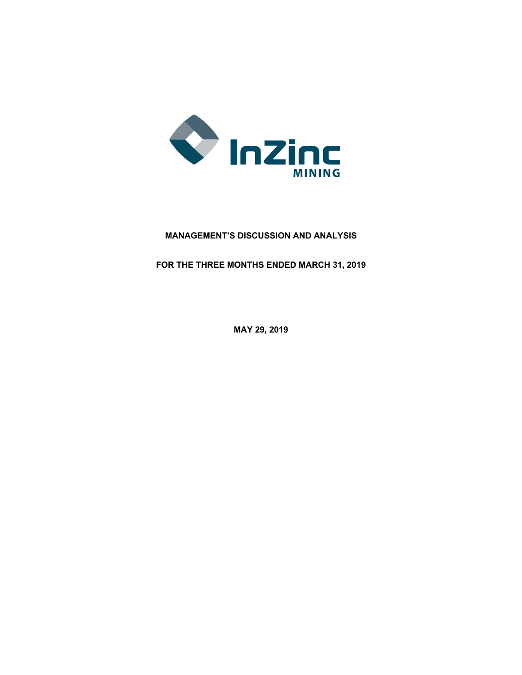

# **MANAGEMENT'S DISCUSSION AND ANALYSIS**

**FOR THE THREE MONTHS ENDED MARCH 31, 2019**

**MAY 29, 2019**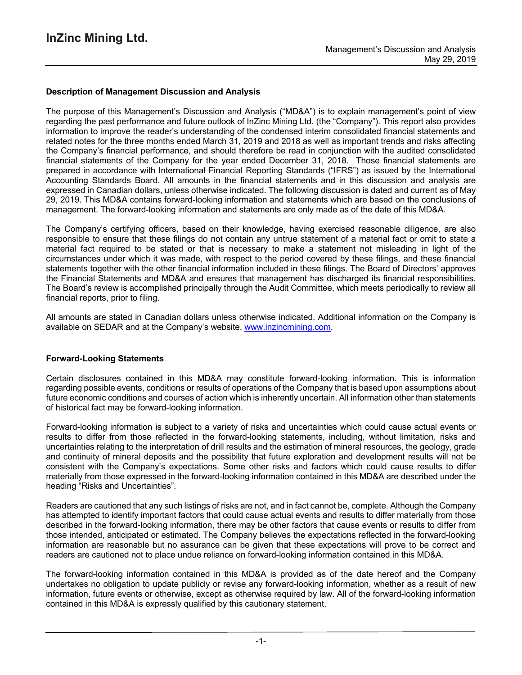## **Description of Management Discussion and Analysis**

The purpose of this Management's Discussion and Analysis ("MD&A") is to explain management's point of view regarding the past performance and future outlook of InZinc Mining Ltd. (the "Company"). This report also provides information to improve the reader's understanding of the condensed interim consolidated financial statements and related notes for the three months ended March 31, 2019 and 2018 as well as important trends and risks affecting the Company's financial performance, and should therefore be read in conjunction with the audited consolidated financial statements of the Company for the year ended December 31, 2018. Those financial statements are prepared in accordance with International Financial Reporting Standards ("IFRS") as issued by the International Accounting Standards Board. All amounts in the financial statements and in this discussion and analysis are expressed in Canadian dollars, unless otherwise indicated. The following discussion is dated and current as of May 29, 2019. This MD&A contains forward-looking information and statements which are based on the conclusions of management. The forward-looking information and statements are only made as of the date of this MD&A.

The Company's certifying officers, based on their knowledge, having exercised reasonable diligence, are also responsible to ensure that these filings do not contain any untrue statement of a material fact or omit to state a material fact required to be stated or that is necessary to make a statement not misleading in light of the circumstances under which it was made, with respect to the period covered by these filings, and these financial statements together with the other financial information included in these filings. The Board of Directors' approves the Financial Statements and MD&A and ensures that management has discharged its financial responsibilities. The Board's review is accomplished principally through the Audit Committee, which meets periodically to review all financial reports, prior to filing.

All amounts are stated in Canadian dollars unless otherwise indicated. Additional information on the Company is available on SEDAR and at the Company's website, www.inzincmining.com.

#### **Forward-Looking Statements**

Certain disclosures contained in this MD&A may constitute forward-looking information. This is information regarding possible events, conditions or results of operations of the Company that is based upon assumptions about future economic conditions and courses of action which is inherently uncertain. All information other than statements of historical fact may be forward-looking information.

Forward-looking information is subject to a variety of risks and uncertainties which could cause actual events or results to differ from those reflected in the forward-looking statements, including, without limitation, risks and uncertainties relating to the interpretation of drill results and the estimation of mineral resources, the geology, grade and continuity of mineral deposits and the possibility that future exploration and development results will not be consistent with the Company's expectations. Some other risks and factors which could cause results to differ materially from those expressed in the forward-looking information contained in this MD&A are described under the heading "Risks and Uncertainties".

Readers are cautioned that any such listings of risks are not, and in fact cannot be, complete. Although the Company has attempted to identify important factors that could cause actual events and results to differ materially from those described in the forward-looking information, there may be other factors that cause events or results to differ from those intended, anticipated or estimated. The Company believes the expectations reflected in the forward-looking information are reasonable but no assurance can be given that these expectations will prove to be correct and readers are cautioned not to place undue reliance on forward-looking information contained in this MD&A.

The forward-looking information contained in this MD&A is provided as of the date hereof and the Company undertakes no obligation to update publicly or revise any forward-looking information, whether as a result of new information, future events or otherwise, except as otherwise required by law. All of the forward-looking information contained in this MD&A is expressly qualified by this cautionary statement.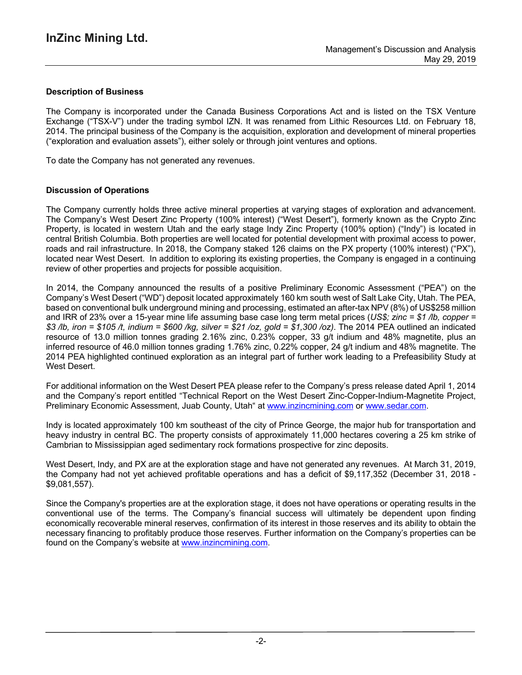## **Description of Business**

The Company is incorporated under the Canada Business Corporations Act and is listed on the TSX Venture Exchange ("TSX-V") under the trading symbol IZN. It was renamed from Lithic Resources Ltd. on February 18, 2014. The principal business of the Company is the acquisition, exploration and development of mineral properties ("exploration and evaluation assets"), either solely or through joint ventures and options.

To date the Company has not generated any revenues.

## **Discussion of Operations**

The Company currently holds three active mineral properties at varying stages of exploration and advancement. The Company's West Desert Zinc Property (100% interest) ("West Desert"), formerly known as the Crypto Zinc Property, is located in western Utah and the early stage Indy Zinc Property (100% option) ("Indy") is located in central British Columbia. Both properties are well located for potential development with proximal access to power, roads and rail infrastructure. In 2018, the Company staked 126 claims on the PX property (100% interest) ("PX"), located near West Desert. In addition to exploring its existing properties, the Company is engaged in a continuing review of other properties and projects for possible acquisition.

In 2014, the Company announced the results of a positive Preliminary Economic Assessment ("PEA") on the Company's West Desert ("WD") deposit located approximately 160 km south west of Salt Lake City, Utah. The PEA, based on conventional bulk underground mining and processing, estimated an after-tax NPV (8%) of US\$258 million and IRR of 23% over a 15-year mine life assuming base case long term metal prices (*US\$; zinc = \$1 /lb, copper =* \$3 /lb, iron = \$105 /t, indium = \$600 /kg, silver = \$21 /oz, gold = \$1,300 /oz). The 2014 PEA outlined an indicated resource of 13.0 million tonnes grading 2.16% zinc, 0.23% copper, 33 g/t indium and 48% magnetite, plus an inferred resource of 46.0 million tonnes grading 1.76% zinc, 0.22% copper, 24 g/t indium and 48% magnetite. The 2014 PEA highlighted continued exploration as an integral part of further work leading to a Prefeasibility Study at West Desert.

For additional information on the West Desert PEA please refer to the Company's press release dated April 1, 2014 and the Company's report entitled "Technical Report on the West Desert Zinc-Copper-Indium-Magnetite Project, Preliminary Economic Assessment, Juab County, Utah" at www.inzincmining.com or www.sedar.com.

Indy is located approximately 100 km southeast of the city of Prince George, the major hub for transportation and heavy industry in central BC. The property consists of approximately 11,000 hectares covering a 25 km strike of Cambrian to Mississippian aged sedimentary rock formations prospective for zinc deposits.

West Desert, Indy, and PX are at the exploration stage and have not generated any revenues. At March 31, 2019, the Company had not yet achieved profitable operations and has a deficit of \$9,117,352 (December 31, 2018 - \$9,081,557).

Since the Company's properties are at the exploration stage, it does not have operations or operating results in the conventional use of the terms. The Company's financial success will ultimately be dependent upon finding economically recoverable mineral reserves, confirmation of its interest in those reserves and its ability to obtain the necessary financing to profitably produce those reserves. Further information on the Company's properties can be found on the Company's website at www.inzincmining.com.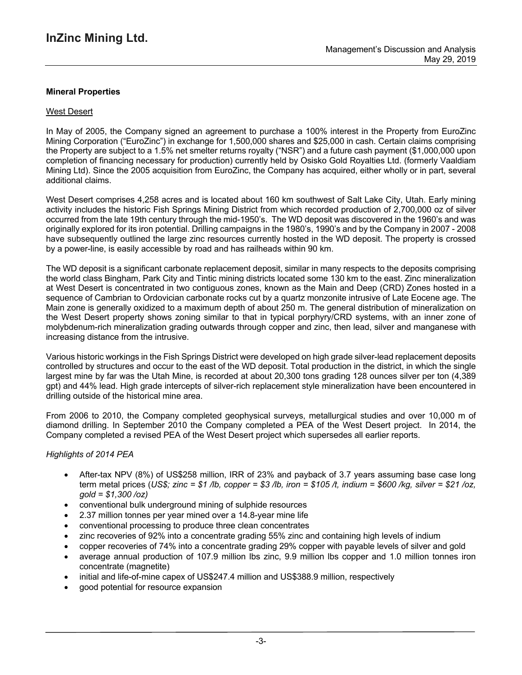## **Mineral Properties**

### West Desert

In May of 2005, the Company signed an agreement to purchase a 100% interest in the Property from EuroZinc Mining Corporation ("EuroZinc") in exchange for 1,500,000 shares and \$25,000 in cash. Certain claims comprising the Property are subject to a 1.5% net smelter returns royalty ("NSR") and a future cash payment (\$1,000,000 upon completion of financing necessary for production) currently held by Osisko Gold Royalties Ltd. (formerly Vaaldiam Mining Ltd). Since the 2005 acquisition from EuroZinc, the Company has acquired, either wholly or in part, several additional claims.

West Desert comprises 4,258 acres and is located about 160 km southwest of Salt Lake City, Utah. Early mining activity includes the historic Fish Springs Mining District from which recorded production of 2,700,000 oz of silver occurred from the late 19th century through the mid-1950's. The WD deposit was discovered in the 1960's and was originally explored for its iron potential. Drilling campaigns in the 1980's, 1990's and by the Company in 2007 - 2008 have subsequently outlined the large zinc resources currently hosted in the WD deposit. The property is crossed by a power-line, is easily accessible by road and has railheads within 90 km.

The WD deposit is a significant carbonate replacement deposit, similar in many respects to the deposits comprising the world class Bingham, Park City and Tintic mining districts located some 130 km to the east. Zinc mineralization at West Desert is concentrated in two contiguous zones, known as the Main and Deep (CRD) Zones hosted in a sequence of Cambrian to Ordovician carbonate rocks cut by a quartz monzonite intrusive of Late Eocene age. The Main zone is generally oxidized to a maximum depth of about 250 m. The general distribution of mineralization on the West Desert property shows zoning similar to that in typical porphyry/CRD systems, with an inner zone of molybdenum-rich mineralization grading outwards through copper and zinc, then lead, silver and manganese with increasing distance from the intrusive.

Various historic workings in the Fish Springs District were developed on high grade silver-lead replacement deposits controlled by structures and occur to the east of the WD deposit. Total production in the district, in which the single largest mine by far was the Utah Mine, is recorded at about 20,300 tons grading 128 ounces silver per ton (4,389 gpt) and 44% lead. High grade intercepts of silver-rich replacement style mineralization have been encountered in drilling outside of the historical mine area.

From 2006 to 2010, the Company completed geophysical surveys, metallurgical studies and over 10,000 m of diamond drilling. In September 2010 the Company completed a PEA of the West Desert project. In 2014, the Company completed a revised PEA of the West Desert project which supersedes all earlier reports.

## *Highlights of 2014 PEA*

- After-tax NPV (8%) of US\$258 million, IRR of 23% and payback of 3.7 years assuming base case long term metal prices (US\$; zinc = \$1 /b, copper = \$3 /b, iron = \$105 /t, indium = \$600 /kg, silver = \$21 /oz, *gold = \$1,300 /oz)*
- conventional bulk underground mining of sulphide resources
- 2.37 million tonnes per year mined over a 14.8-year mine life
- conventional processing to produce three clean concentrates
- zinc recoveries of 92% into a concentrate grading 55% zinc and containing high levels of indium
- copper recoveries of 74% into a concentrate grading 29% copper with payable levels of silver and gold
- average annual production of 107.9 million lbs zinc, 9.9 million lbs copper and 1.0 million tonnes iron concentrate (magnetite)
- initial and life-of-mine capex of US\$247.4 million and US\$388.9 million, respectively
- good potential for resource expansion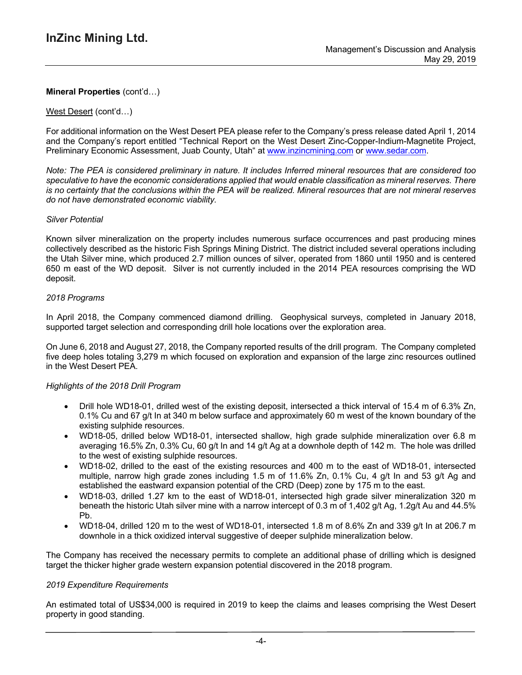### West Desert (cont'd…)

For additional information on the West Desert PEA please refer to the Company's press release dated April 1, 2014 and the Company's report entitled "Technical Report on the West Desert Zinc-Copper-Indium-Magnetite Project, Preliminary Economic Assessment, Juab County, Utah" at www.inzincmining.com or www.sedar.com.

Note: The PEA is considered preliminary in nature. It includes Inferred mineral resources that are considered too *speculative to have the economic considerations applied that would enable classification as mineral reserves. There* is no certainty that the conclusions within the PEA will be realized. Mineral resources that are not mineral reserves *do not have demonstrated economic viability.*

#### *Silver Potential*

Known silver mineralization on the property includes numerous surface occurrences and past producing mines collectively described as the historic Fish Springs Mining District. The district included several operations including the Utah Silver mine, which produced 2.7 million ounces of silver, operated from 1860 until 1950 and is centered 650 m east of the WD deposit. Silver is not currently included in the 2014 PEA resources comprising the WD deposit.

### *2018 Programs*

In April 2018, the Company commenced diamond drilling. Geophysical surveys, completed in January 2018, supported target selection and corresponding drill hole locations over the exploration area.

On June 6, 2018 and August 27, 2018, the Company reported results of the drill program. The Company completed five deep holes totaling 3,279 m which focused on exploration and expansion of the large zinc resources outlined in the West Desert PEA.

#### *Highlights of the 2018 Drill Program*

- Drill hole WD18-01, drilled west of the existing deposit, intersected a thick interval of 15.4 m of 6.3% Zn, 0.1% Cu and 67 g/t In at 340 m below surface and approximately 60 m west of the known boundary of the existing sulphide resources.
- WD18-05, drilled below WD18-01, intersected shallow, high grade sulphide mineralization over 6.8 m averaging 16.5% Zn, 0.3% Cu, 60 g/t In and 14 g/t Ag at a downhole depth of 142 m. The hole was drilled to the west of existing sulphide resources.
- WD18-02, drilled to the east of the existing resources and 400 m to the east of WD18-01, intersected multiple, narrow high grade zones including 1.5 m of 11.6% Zn, 0.1% Cu, 4 g/t In and 53 g/t Ag and established the eastward expansion potential of the CRD (Deep) zone by 175 m to the east.
- WD18-03, drilled 1.27 km to the east of WD18-01, intersected high grade silver mineralization 320 m beneath the historic Utah silver mine with a narrow intercept of 0.3 m of 1,402 g/t Ag, 1.2g/t Au and 44.5% Pb.
- WD18-04, drilled 120 m to the west of WD18-01, intersected 1.8 m of 8.6% Zn and 339 g/t In at 206.7 m downhole in a thick oxidized interval suggestive of deeper sulphide mineralization below.

The Company has received the necessary permits to complete an additional phase of drilling which is designed target the thicker higher grade western expansion potential discovered in the 2018 program.

#### *2019 Expenditure Requirements*

An estimated total of US\$34,000 is required in 2019 to keep the claims and leases comprising the West Desert property in good standing.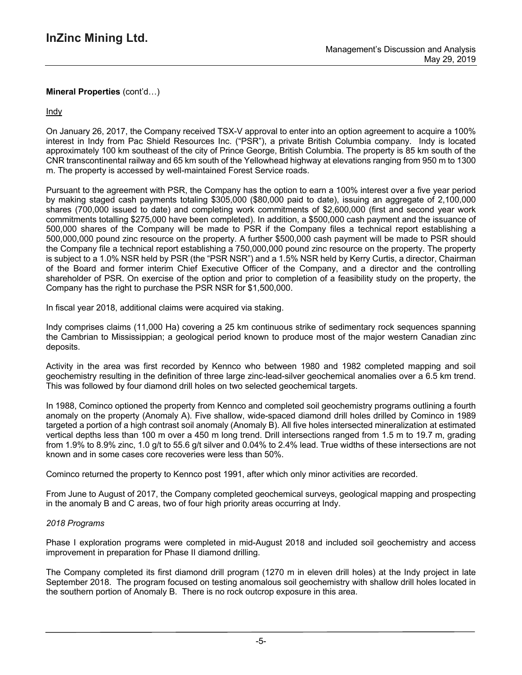**Indy** 

On January 26, 2017, the Company received TSX-V approval to enter into an option agreement to acquire a 100% interest in Indy from Pac Shield Resources Inc. ("PSR"), a private British Columbia company. Indy is located approximately 100 km southeast of the city of Prince George, British Columbia. The property is 85 km south of the CNR transcontinental railway and 65 km south of the Yellowhead highway at elevations ranging from 950 m to 1300 m. The property is accessed by well-maintained Forest Service roads.

Pursuant to the agreement with PSR, the Company has the option to earn a 100% interest over a five year period by making staged cash payments totaling \$305,000 (\$80,000 paid to date), issuing an aggregate of 2,100,000 shares (700,000 issued to date) and completing work commitments of \$2,600,000 (first and second year work commitments totalling \$275,000 have been completed). In addition, a \$500,000 cash payment and the issuance of 500,000 shares of the Company will be made to PSR if the Company files a technical report establishing a 500,000,000 pound zinc resource on the property. A further \$500,000 cash payment will be made to PSR should the Company file a technical report establishing a 750,000,000 pound zinc resource on the property. The property is subject to a 1.0% NSR held by PSR (the "PSR NSR") and a 1.5% NSR held by Kerry Curtis, a director, Chairman of the Board and former interim Chief Executive Officer of the Company, and a director and the controlling shareholder of PSR. On exercise of the option and prior to completion of a feasibility study on the property, the Company has the right to purchase the PSR NSR for \$1,500,000.

In fiscal year 2018, additional claims were acquired via staking.

Indy comprises claims (11,000 Ha) covering a 25 km continuous strike of sedimentary rock sequences spanning the Cambrian to Mississippian; a geological period known to produce most of the major western Canadian zinc deposits.

Activity in the area was first recorded by Kennco who between 1980 and 1982 completed mapping and soil geochemistry resulting in the definition of three large zinc-lead-silver geochemical anomalies over a 6.5 km trend. This was followed by four diamond drill holes on two selected geochemical targets.

In 1988, Cominco optioned the property from Kennco and completed soil geochemistry programs outlining a fourth anomaly on the property (Anomaly A). Five shallow, wide-spaced diamond drill holes drilled by Cominco in 1989 targeted a portion of a high contrast soil anomaly (Anomaly B). All five holes intersected mineralization at estimated vertical depths less than 100 m over a 450 m long trend. Drill intersections ranged from 1.5 m to 19.7 m, grading from 1.9% to 8.9% zinc, 1.0 g/t to 55.6 g/t silver and 0.04% to 2.4% lead. True widths of these intersections are not known and in some cases core recoveries were less than 50%.

Cominco returned the property to Kennco post 1991, after which only minor activities are recorded.

From June to August of 2017, the Company completed geochemical surveys, geological mapping and prospecting in the anomaly B and C areas, two of four high priority areas occurring at Indy.

# *2018 Programs*

Phase I exploration programs were completed in mid-August 2018 and included soil geochemistry and access improvement in preparation for Phase II diamond drilling.

The Company completed its first diamond drill program (1270 m in eleven drill holes) at the Indy project in late September 2018. The program focused on testing anomalous soil geochemistry with shallow drill holes located in the southern portion of Anomaly B. There is no rock outcrop exposure in this area.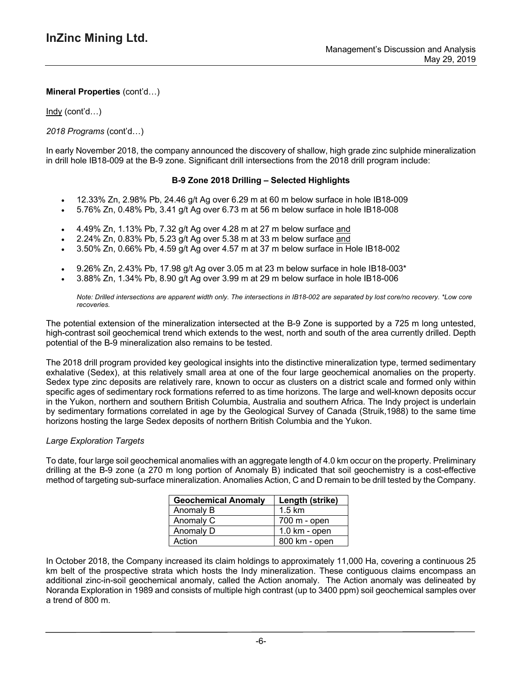Indy (cont'd…)

## *2018 Programs* (cont'd…)

In early November 2018, the company announced the discovery of shallow, high grade zinc sulphide mineralization in drill hole IB18-009 at the B-9 zone. Significant drill intersections from the 2018 drill program include:

### **B-9 Zone 2018 Drilling – Selected Highlights**

- 12.33% Zn, 2.98% Pb, 24.46 g/t Ag over 6.29 m at 60 m below surface in hole IB18-009
- 5.76% Zn, 0.48% Pb, 3.41 g/t Ag over 6.73 m at 56 m below surface in hole IB18-008
- 4.49% Zn, 1.13% Pb, 7.32 g/t Ag over 4.28 m at 27 m below surface and
- 2.24% Zn, 0.83% Pb, 5.23 g/t Ag over 5.38 m at 33 m below surface and
- 3.50% Zn, 0.66% Pb, 4.59 g/t Ag over 4.57 m at 37 m below surface in Hole IB18-002
- 9.26% Zn, 2.43% Pb, 17.98 g/t Ag over 3.05 m at 23 m below surface in hole IB18-003\*
- 3.88% Zn, 1.34% Pb, 8.90 g/t Ag over 3.99 m at 29 m below surface in hole IB18-006

Note: Drilled intersections are apparent width only. The intersections in IB18-002 are separated by lost core/no recovery. \*Low core *recoveries.*

The potential extension of the mineralization intersected at the B-9 Zone is supported by a 725 m long untested, high-contrast soil geochemical trend which extends to the west, north and south of the area currently drilled. Depth potential of the B-9 mineralization also remains to be tested.

The 2018 drill program provided key geological insights into the distinctive mineralization type, termed sedimentary exhalative (Sedex), at this relatively small area at one of the four large geochemical anomalies on the property. Sedex type zinc deposits are relatively rare, known to occur as clusters on a district scale and formed only within specific ages of sedimentary rock formations referred to as time horizons. The large and well-known deposits occur in the Yukon, northern and southern British Columbia, Australia and southern Africa. The Indy project is underlain by sedimentary formations correlated in age by the Geological Survey of Canada (Struik,1988) to the same time horizons hosting the large Sedex deposits of northern British Columbia and the Yukon.

#### *Large Exploration Targets*

To date, four large soil geochemical anomalies with an aggregate length of 4.0 km occur on the property. Preliminary drilling at the B-9 zone (a 270 m long portion of Anomaly B) indicated that soil geochemistry is a cost-effective method of targeting sub-surface mineralization. Anomalies Action, C and D remain to be drill tested by the Company.

| <b>Geochemical Anomaly</b> | Length (strike)         |
|----------------------------|-------------------------|
| Anomaly B                  | $1.5 \text{ km}$        |
| Anomaly C                  | 700 m - open            |
| Anomaly D                  | $1.0 \text{ km}$ - open |
| Action                     | 800 km - open           |

In October 2018, the Company increased its claim holdings to approximately 11,000 Ha, covering a continuous 25 km belt of the prospective strata which hosts the Indy mineralization. These contiguous claims encompass an additional zinc-in-soil geochemical anomaly, called the Action anomaly. The Action anomaly was delineated by Noranda Exploration in 1989 and consists of multiple high contrast (up to 3400 ppm) soil geochemical samples over a trend of 800 m.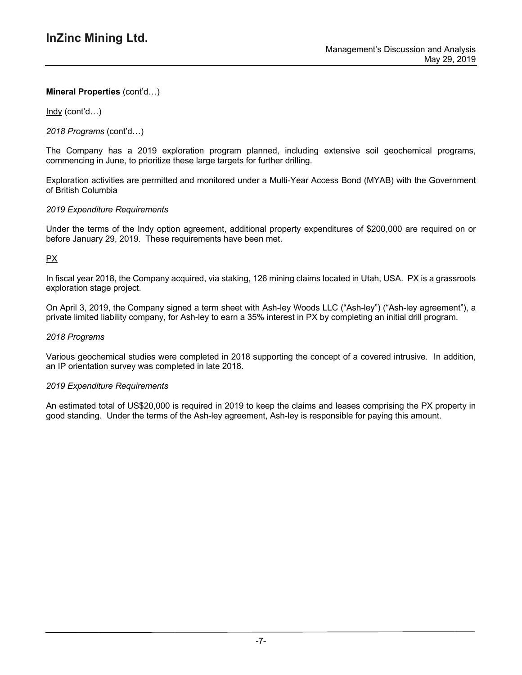Indy (cont'd…)

*2018 Programs* (cont'd…)

The Company has a 2019 exploration program planned, including extensive soil geochemical programs, commencing in June, to prioritize these large targets for further drilling.

Exploration activities are permitted and monitored under a Multi-Year Access Bond (MYAB) with the Government of British Columbia

## *2019 Expenditure Requirements*

Under the terms of the Indy option agreement, additional property expenditures of \$200,000 are required on or before January 29, 2019. These requirements have been met.

## PX

In fiscal year 2018, the Company acquired, via staking, 126 mining claims located in Utah, USA. PX is a grassroots exploration stage project.

On April 3, 2019, the Company signed a term sheet with Ash-ley Woods LLC ("Ash-ley") ("Ash-ley agreement"), a private limited liability company, for Ash-ley to earn a 35% interest in PX by completing an initial drill program.

#### *2018 Programs*

Various geochemical studies were completed in 2018 supporting the concept of a covered intrusive. In addition, an IP orientation survey was completed in late 2018.

#### *2019 Expenditure Requirements*

An estimated total of US\$20,000 is required in 2019 to keep the claims and leases comprising the PX property in good standing. Under the terms of the Ash-ley agreement, Ash-ley is responsible for paying this amount.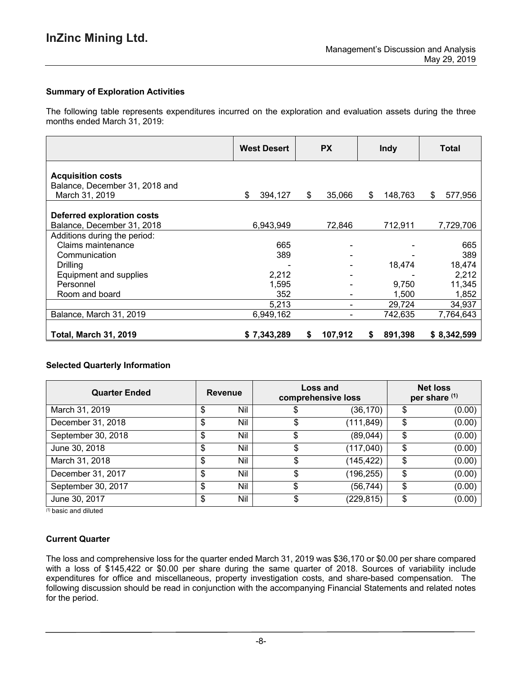## **Summary of Exploration Activities**

The following table represents expenditures incurred on the exploration and evaluation assets during the three months ended March 31, 2019:

|                                                            | <b>West Desert</b> | <b>PX</b> |                 | <b>Indy</b> |         | Total |             |
|------------------------------------------------------------|--------------------|-----------|-----------------|-------------|---------|-------|-------------|
| <b>Acquisition costs</b><br>Balance, December 31, 2018 and |                    |           |                 |             |         |       |             |
| March 31, 2019                                             | \$<br>394,127      | \$        | 35,066          | \$          | 148,763 | \$    | 577,956     |
| Deferred exploration costs<br>Balance, December 31, 2018   | 6,943,949          |           | 72,846          |             | 712,911 |       | 7,729,706   |
| Additions during the period:                               |                    |           |                 |             |         |       |             |
| Claims maintenance                                         | 665                |           |                 |             |         |       | 665         |
| Communication                                              | 389                |           |                 |             |         |       | 389         |
| Drilling                                                   |                    |           |                 |             | 18,474  |       | 18,474      |
| Equipment and supplies                                     | 2,212              |           |                 |             |         |       | 2,212       |
| Personnel                                                  | 1,595              |           |                 |             | 9,750   |       | 11,345      |
| Room and board                                             | 352                |           |                 |             | 1,500   |       | 1,852       |
|                                                            | 5,213              |           |                 |             | 29,724  |       | 34,937      |
| Balance, March 31, 2019                                    | 6,949,162          |           | $\qquad \qquad$ |             | 742,635 |       | 7,764,643   |
| <b>Total, March 31, 2019</b>                               | \$7,343,289        | S         | 107,912         |             | 891,398 |       | \$8,342,599 |

## **Selected Quarterly Information**

| <b>Quarter Ended</b> | <b>Revenue</b> |     |    |            | Loss and<br>comprehensive loss |  | <b>Net loss</b><br>per share (1) |
|----------------------|----------------|-----|----|------------|--------------------------------|--|----------------------------------|
| March 31, 2019       | S              | Nil |    | (36, 170)  | \$<br>(0.00)                   |  |                                  |
| December 31, 2018    | \$             | Nil | \$ | (111, 849) | \$<br>(0.00)                   |  |                                  |
| September 30, 2018   | \$             | Nil |    | (89,044)   | \$<br>(0.00)                   |  |                                  |
| June 30, 2018        | \$             | Nil | \$ | (117,040)  | \$<br>(0.00)                   |  |                                  |
| March 31, 2018       | \$             | Nil | \$ | (145,422)  | \$<br>(0.00)                   |  |                                  |
| December 31, 2017    | \$             | Nil | \$ | (196, 255) | \$<br>(0.00)                   |  |                                  |
| September 30, 2017   | \$             | Nil | \$ | (56,744)   | \$<br>(0.00)                   |  |                                  |
| June 30, 2017        | \$             | Nil | \$ | (229,815)  | \$<br>(0.00)                   |  |                                  |

*(1)* basic and diluted

## **Current Quarter**

The loss and comprehensive loss for the quarter ended March 31, 2019 was \$36,170 or \$0.00 per share compared with a loss of \$145,422 or \$0.00 per share during the same quarter of 2018. Sources of variability include expenditures for office and miscellaneous, property investigation costs, and share-based compensation. The following discussion should be read in conjunction with the accompanying Financial Statements and related notes for the period.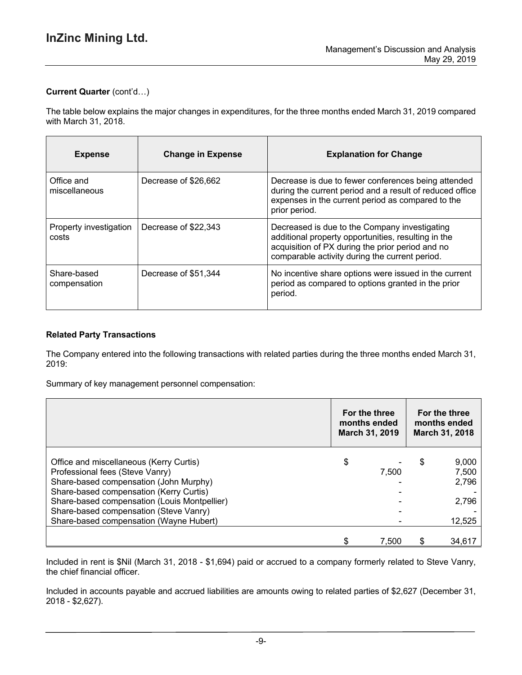# **Current Quarter** (cont'd…)

The table below explains the major changes in expenditures, for the three months ended March 31, 2019 compared with March 31, 2018.

| <b>Expense</b>                  | <b>Change in Expense</b> | <b>Explanation for Change</b>                                                                                                                                                                              |
|---------------------------------|--------------------------|------------------------------------------------------------------------------------------------------------------------------------------------------------------------------------------------------------|
| Office and<br>miscellaneous     | Decrease of \$26,662     | Decrease is due to fewer conferences being attended<br>during the current period and a result of reduced office<br>expenses in the current period as compared to the<br>prior period.                      |
| Property investigation<br>costs | Decrease of \$22,343     | Decreased is due to the Company investigating<br>additional property opportunities, resulting in the<br>acquisition of PX during the prior period and no<br>comparable activity during the current period. |
| Share-based<br>compensation     | Decrease of \$51,344     | No incentive share options were issued in the current<br>period as compared to options granted in the prior<br>period.                                                                                     |

## **Related Party Transactions**

The Company entered into the following transactions with related parties during the three months ended March 31, 2019:

Summary of key management personnel compensation:

|                                                                                                                                                                                                                                                                                                      | For the three<br>months ended<br>March 31, 2019 |   | For the three<br>months ended<br>March 31, 2018 |
|------------------------------------------------------------------------------------------------------------------------------------------------------------------------------------------------------------------------------------------------------------------------------------------------------|-------------------------------------------------|---|-------------------------------------------------|
| Office and miscellaneous (Kerry Curtis)<br>Professional fees (Steve Vanry)<br>Share-based compensation (John Murphy)<br>Share-based compensation (Kerry Curtis)<br>Share-based compensation (Louis Montpellier)<br>Share-based compensation (Steve Vanry)<br>Share-based compensation (Wayne Hubert) | \$<br>7,500                                     | S | 9,000<br>7,500<br>2,796<br>2,796<br>12,525      |
|                                                                                                                                                                                                                                                                                                      | 7.500                                           |   | 34,61                                           |

Included in rent is \$Nil (March 31, 2018 - \$1,694) paid or accrued to a company formerly related to Steve Vanry, the chief financial officer.

Included in accounts payable and accrued liabilities are amounts owing to related parties of \$2,627 (December 31, 2018 - \$2,627).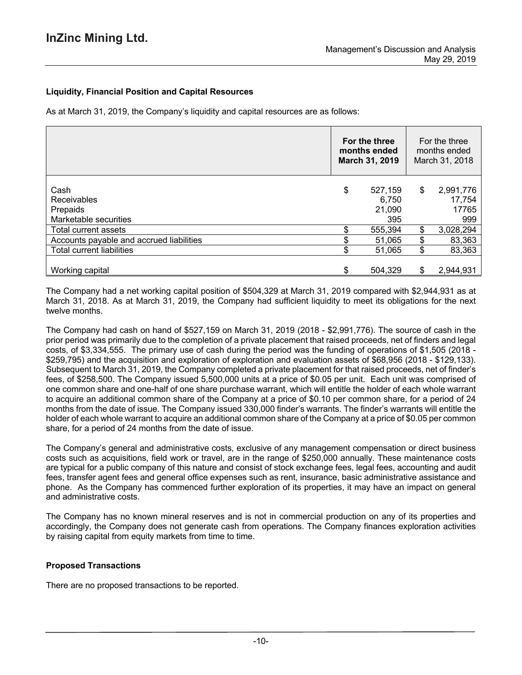## **Liquidity, Financial Position and Capital Resources**

As at March 31, 2019, the Company's liquidity and capital resources are as follows:

|                                                          | For the three<br>months ended<br>March 31, 2019 | For the three<br>months ended<br>March 31, 2018 |                                     |
|----------------------------------------------------------|-------------------------------------------------|-------------------------------------------------|-------------------------------------|
| Cash<br>Receivables<br>Prepaids<br>Marketable securities | \$<br>527,159<br>6,750<br>21,090<br>395         | \$                                              | 2,991,776<br>17,754<br>17765<br>999 |
| Total current assets                                     | 555,394                                         | \$                                              | 3,028,294                           |
| Accounts payable and accrued liabilities                 | 51,065                                          | \$                                              | 83,363                              |
| Total current liabilities                                | 51,065                                          | \$                                              | 83,363                              |
| Working capital                                          | 504,329                                         | S                                               | 2,944,931                           |

The Company had a net working capital position of \$504,329 at March 31, 2019 compared with \$2,944,931 as at March 31, 2018. As at March 31, 2019, the Company had sufficient liquidity to meet its obligations for the next twelve months.

The Company had cash on hand of \$527,159 on March 31, 2019 (2018 - \$2,991,776). The source of cash in the prior period was primarily due to the completion of a private placement that raised proceeds, net of finders and legal costs, of \$3,334,555. The primary use of cash during the period was the funding of operations of \$1,505 (2018 - \$259,795) and the acquisition and exploration of exploration and evaluation assets of \$68,956 (2018 - \$129,133). Subsequent to March 31, 2019, the Company completed a private placement for that raised proceeds, net of finder's fees, of \$258,500. The Company issued 5,500,000 units at a price of \$0.05 per unit. Each unit was comprised of one common share and one-half of one share purchase warrant, which will entitle the holder of each whole warrant to acquire an additional common share of the Company at a price of \$0.10 per common share, for a period of 24 months from the date of issue. The Company issued 330,000 finder's warrants. The finder's warrants will entitle the holder of each whole warrant to acquire an additional common share of the Company at a price of \$0.05 per common share, for a period of 24 months from the date of issue.

The Company's general and administrative costs, exclusive of any management compensation or direct business costs such as acquisitions, field work or travel, are in the range of \$250,000 annually. These maintenance costs are typical for a public company of this nature and consist of stock exchange fees, legal fees, accounting and audit fees, transfer agent fees and general office expenses such as rent, insurance, basic administrative assistance and phone. As the Company has commenced further exploration of its properties, it may have an impact on general and administrative costs.

The Company has no known mineral reserves and is not in commercial production on any of its properties and accordingly, the Company does not generate cash from operations. The Company finances exploration activities by raising capital from equity markets from time to time.

## **Proposed Transactions**

There are no proposed transactions to be reported.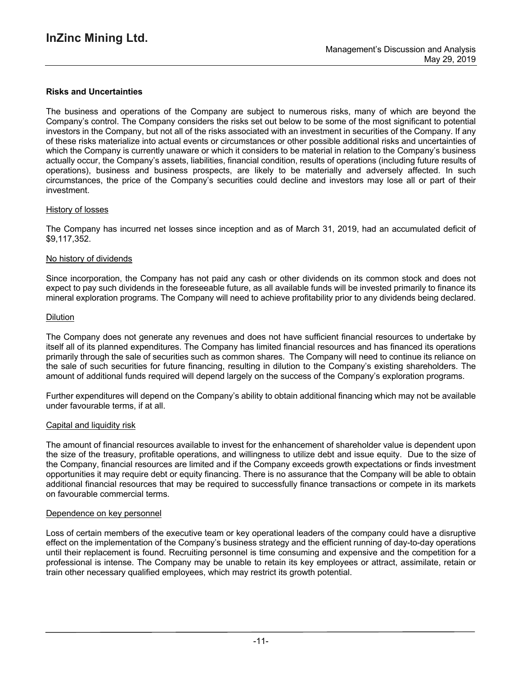### **Risks and Uncertainties**

The business and operations of the Company are subject to numerous risks, many of which are beyond the Company's control. The Company considers the risks set out below to be some of the most significant to potential investors in the Company, but not all of the risks associated with an investment in securities of the Company. If any of these risks materialize into actual events or circumstances or other possible additional risks and uncertainties of which the Company is currently unaware or which it considers to be material in relation to the Company's business actually occur, the Company's assets, liabilities, financial condition, results of operations (including future results of operations), business and business prospects, are likely to be materially and adversely affected. In such circumstances, the price of the Company's securities could decline and investors may lose all or part of their investment.

#### History of losses

The Company has incurred net losses since inception and as of March 31, 2019, had an accumulated deficit of \$9,117,352.

#### No history of dividends

Since incorporation, the Company has not paid any cash or other dividends on its common stock and does not expect to pay such dividends in the foreseeable future, as all available funds will be invested primarily to finance its mineral exploration programs. The Company will need to achieve profitability prior to any dividends being declared.

### **Dilution**

The Company does not generate any revenues and does not have sufficient financial resources to undertake by itself all of its planned expenditures. The Company has limited financial resources and has financed its operations primarily through the sale of securities such as common shares. The Company will need to continue its reliance on the sale of such securities for future financing, resulting in dilution to the Company's existing shareholders. The amount of additional funds required will depend largely on the success of the Company's exploration programs.

Further expenditures will depend on the Company's ability to obtain additional financing which may not be available under favourable terms, if at all.

#### Capital and liquidity risk

The amount of financial resources available to invest for the enhancement of shareholder value is dependent upon the size of the treasury, profitable operations, and willingness to utilize debt and issue equity. Due to the size of the Company, financial resources are limited and if the Company exceeds growth expectations or finds investment opportunities it may require debt or equity financing. There is no assurance that the Company will be able to obtain additional financial resources that may be required to successfully finance transactions or compete in its markets on favourable commercial terms.

#### Dependence on key personnel

Loss of certain members of the executive team or key operational leaders of the company could have a disruptive effect on the implementation of the Company's business strategy and the efficient running of day-to-day operations until their replacement is found. Recruiting personnel is time consuming and expensive and the competition for a professional is intense. The Company may be unable to retain its key employees or attract, assimilate, retain or train other necessary qualified employees, which may restrict its growth potential.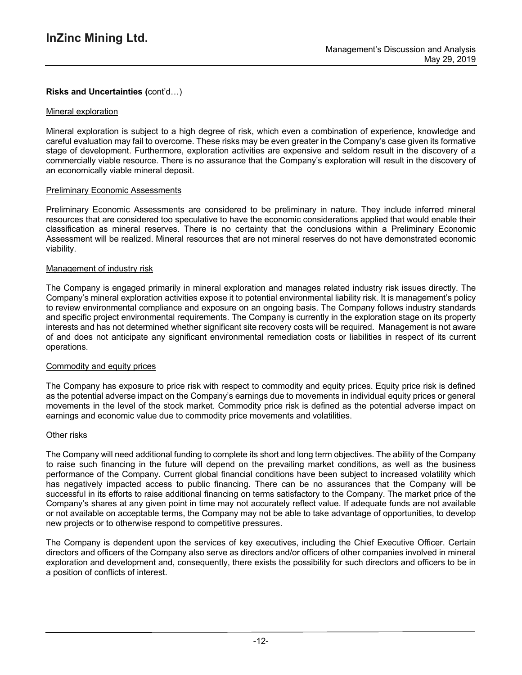## **Risks and Uncertainties (**cont'd…)

#### Mineral exploration

Mineral exploration is subject to a high degree of risk, which even a combination of experience, knowledge and careful evaluation may fail to overcome. These risks may be even greater in the Company's case given its formative stage of development. Furthermore, exploration activities are expensive and seldom result in the discovery of a commercially viable resource. There is no assurance that the Company's exploration will result in the discovery of an economically viable mineral deposit.

#### Preliminary Economic Assessments

Preliminary Economic Assessments are considered to be preliminary in nature. They include inferred mineral resources that are considered too speculative to have the economic considerations applied that would enable their classification as mineral reserves. There is no certainty that the conclusions within a Preliminary Economic Assessment will be realized. Mineral resources that are not mineral reserves do not have demonstrated economic viability.

### Management of industry risk

The Company is engaged primarily in mineral exploration and manages related industry risk issues directly. The Company's mineral exploration activities expose it to potential environmental liability risk. It is management's policy to review environmental compliance and exposure on an ongoing basis. The Company follows industry standards and specific project environmental requirements. The Company is currently in the exploration stage on its property interests and has not determined whether significant site recovery costs will be required. Management is not aware of and does not anticipate any significant environmental remediation costs or liabilities in respect of its current operations.

#### Commodity and equity prices

The Company has exposure to price risk with respect to commodity and equity prices. Equity price risk is defined as the potential adverse impact on the Company's earnings due to movements in individual equity prices or general movements in the level of the stock market. Commodity price risk is defined as the potential adverse impact on earnings and economic value due to commodity price movements and volatilities.

#### Other risks

The Company will need additional funding to complete its short and long term objectives. The ability of the Company to raise such financing in the future will depend on the prevailing market conditions, as well as the business performance of the Company. Current global financial conditions have been subject to increased volatility which has negatively impacted access to public financing. There can be no assurances that the Company will be successful in its efforts to raise additional financing on terms satisfactory to the Company. The market price of the Company's shares at any given point in time may not accurately reflect value. If adequate funds are not available or not available on acceptable terms, the Company may not be able to take advantage of opportunities, to develop new projects or to otherwise respond to competitive pressures.

The Company is dependent upon the services of key executives, including the Chief Executive Officer. Certain directors and officers of the Company also serve as directors and/or officers of other companies involved in mineral exploration and development and, consequently, there exists the possibility for such directors and officers to be in a position of conflicts of interest.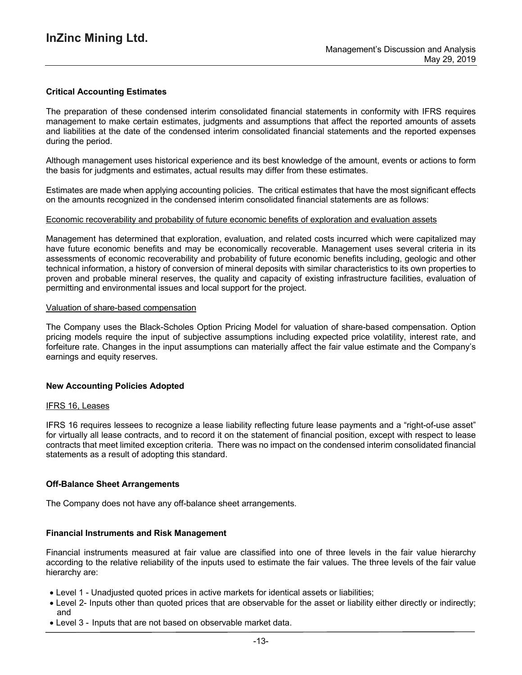### **Critical Accounting Estimates**

The preparation of these condensed interim consolidated financial statements in conformity with IFRS requires management to make certain estimates, judgments and assumptions that affect the reported amounts of assets and liabilities at the date of the condensed interim consolidated financial statements and the reported expenses during the period.

Although management uses historical experience and its best knowledge of the amount, events or actions to form the basis for judgments and estimates, actual results may differ from these estimates.

Estimates are made when applying accounting policies. The critical estimates that have the most significant effects on the amounts recognized in the condensed interim consolidated financial statements are as follows:

#### Economic recoverability and probability of future economic benefits of exploration and evaluation assets

Management has determined that exploration, evaluation, and related costs incurred which were capitalized may have future economic benefits and may be economically recoverable. Management uses several criteria in its assessments of economic recoverability and probability of future economic benefits including, geologic and other technical information, a history of conversion of mineral deposits with similar characteristics to its own properties to proven and probable mineral reserves, the quality and capacity of existing infrastructure facilities, evaluation of permitting and environmental issues and local support for the project.

#### Valuation of share-based compensation

The Company uses the Black-Scholes Option Pricing Model for valuation of share-based compensation. Option pricing models require the input of subjective assumptions including expected price volatility, interest rate, and forfeiture rate. Changes in the input assumptions can materially affect the fair value estimate and the Company's earnings and equity reserves.

#### **New Accounting Policies Adopted**

#### IFRS 16, Leases

IFRS 16 requires lessees to recognize a lease liability reflecting future lease payments and a "right-of-use asset" for virtually all lease contracts, and to record it on the statement of financial position, except with respect to lease contracts that meet limited exception criteria. There was no impact on the condensed interim consolidated financial statements as a result of adopting this standard.

#### **Off-Balance Sheet Arrangements**

The Company does not have any off-balance sheet arrangements.

#### **Financial Instruments and Risk Management**

Financial instruments measured at fair value are classified into one of three levels in the fair value hierarchy according to the relative reliability of the inputs used to estimate the fair values. The three levels of the fair value hierarchy are:

- Level 1 Unadjusted quoted prices in active markets for identical assets or liabilities;
- Level 2- Inputs other than quoted prices that are observable for the asset or liability either directly or indirectly; and
- Level 3 Inputs that are not based on observable market data.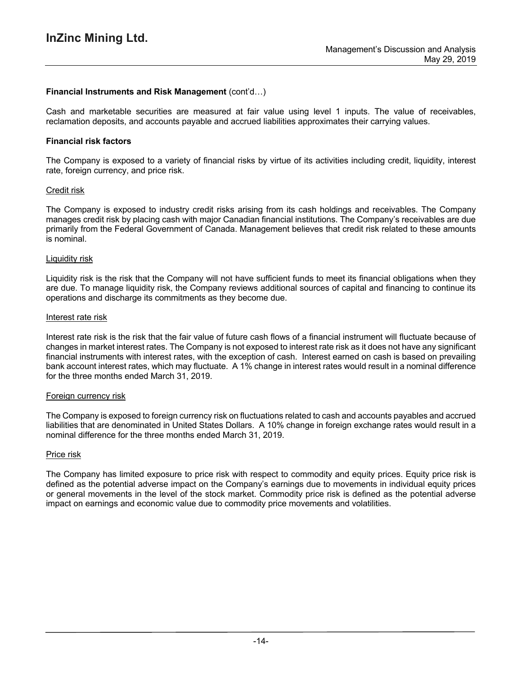### **Financial Instruments and Risk Management** (cont'd…)

Cash and marketable securities are measured at fair value using level 1 inputs. The value of receivables, reclamation deposits, and accounts payable and accrued liabilities approximates their carrying values.

#### **Financial risk factors**

The Company is exposed to a variety of financial risks by virtue of its activities including credit, liquidity, interest rate, foreign currency, and price risk.

#### Credit risk

The Company is exposed to industry credit risks arising from its cash holdings and receivables. The Company manages credit risk by placing cash with major Canadian financial institutions. The Company's receivables are due primarily from the Federal Government of Canada. Management believes that credit risk related to these amounts is nominal.

#### Liquidity risk

Liquidity risk is the risk that the Company will not have sufficient funds to meet its financial obligations when they are due. To manage liquidity risk, the Company reviews additional sources of capital and financing to continue its operations and discharge its commitments as they become due.

#### Interest rate risk

Interest rate risk is the risk that the fair value of future cash flows of a financial instrument will fluctuate because of changes in market interest rates. The Company is not exposed to interest rate risk as it does not have any significant financial instruments with interest rates, with the exception of cash. Interest earned on cash is based on prevailing bank account interest rates, which may fluctuate. A 1% change in interest rates would result in a nominal difference for the three months ended March 31, 2019.

#### Foreign currency risk

The Company is exposed to foreign currency risk on fluctuations related to cash and accounts payables and accrued liabilities that are denominated in United States Dollars. A 10% change in foreign exchange rates would result in a nominal difference for the three months ended March 31, 2019.

#### Price risk

The Company has limited exposure to price risk with respect to commodity and equity prices. Equity price risk is defined as the potential adverse impact on the Company's earnings due to movements in individual equity prices or general movements in the level of the stock market. Commodity price risk is defined as the potential adverse impact on earnings and economic value due to commodity price movements and volatilities.